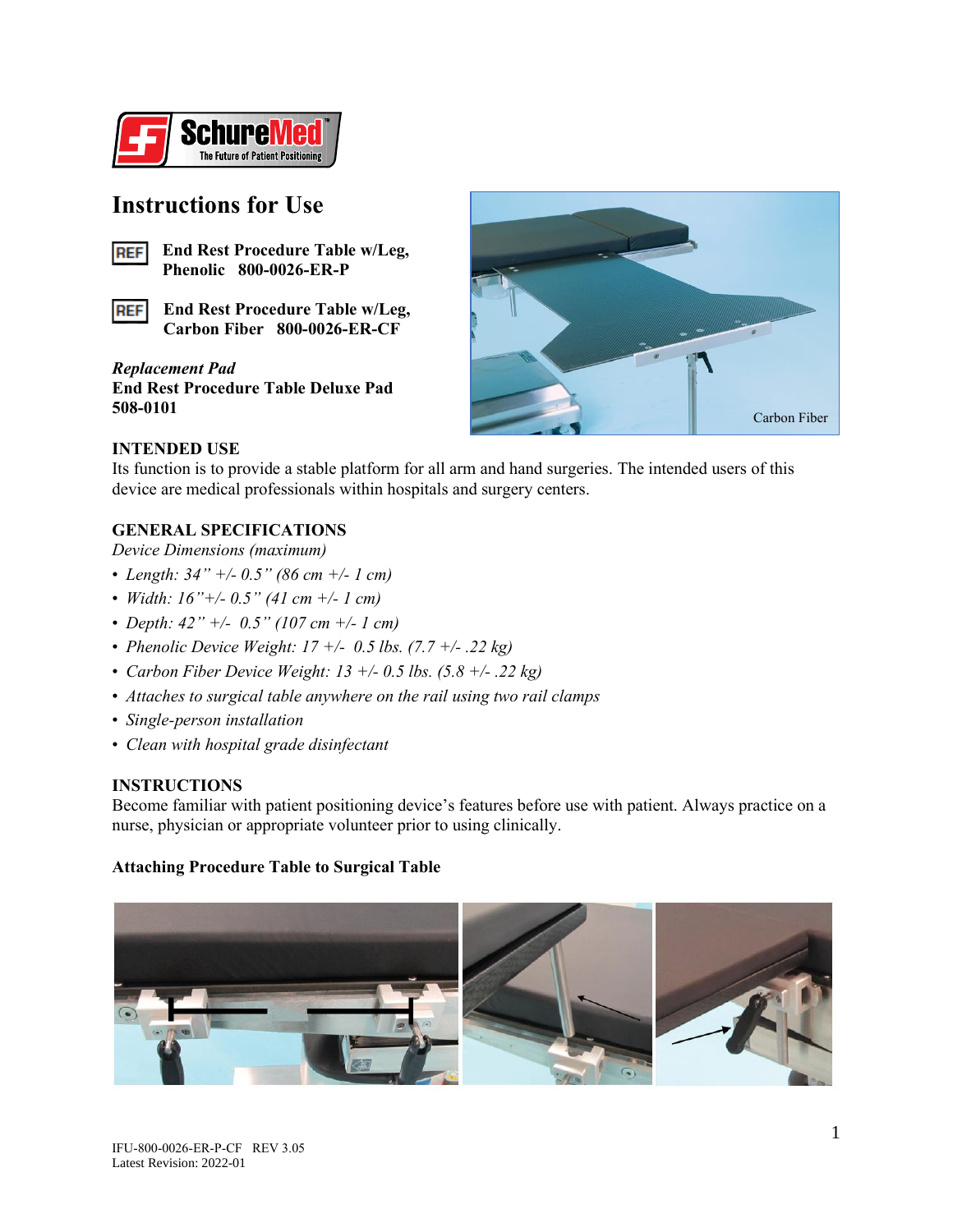

# **Instructions for Use**



**End Rest Procedure Table w/Leg, Phenolic 800-0026-ER-P**

**End Rest Procedure Table w/Leg, REF Carbon Fiber 800-0026-ER-CF**

*Replacement Pad* **End Rest Procedure Table Deluxe Pad 508-0101**



# **INTENDED USE**

Its function is to provide a stable platform for all arm and hand surgeries. The intended users of this device are medical professionals within hospitals and surgery centers.

# **GENERAL SPECIFICATIONS**

*Device Dimensions (maximum)*

- *Length: 34" +/- 0.5" (86 cm +/- 1 cm)*
- *Width: 16"+/- 0.5" (41 cm +/- 1 cm)*
- *Depth: 42" +/- 0.5" (107 cm +/- 1 cm)*
- *Phenolic Device Weight: 17 +/- 0.5 lbs. (7.7 +/- .22 kg)*
- *Carbon Fiber Device Weight: 13 +/- 0.5 lbs. (5.8 +/- .22 kg)*
- *Attaches to surgical table anywhere on the rail using two rail clamps*
- *Single-person installation*
- *Clean with hospital grade disinfectant*

# **INSTRUCTIONS**

Become familiar with patient positioning device's features before use with patient. Always practice on a nurse, physician or appropriate volunteer prior to using clinically.

#### **Attaching Procedure Table to Surgical Table**

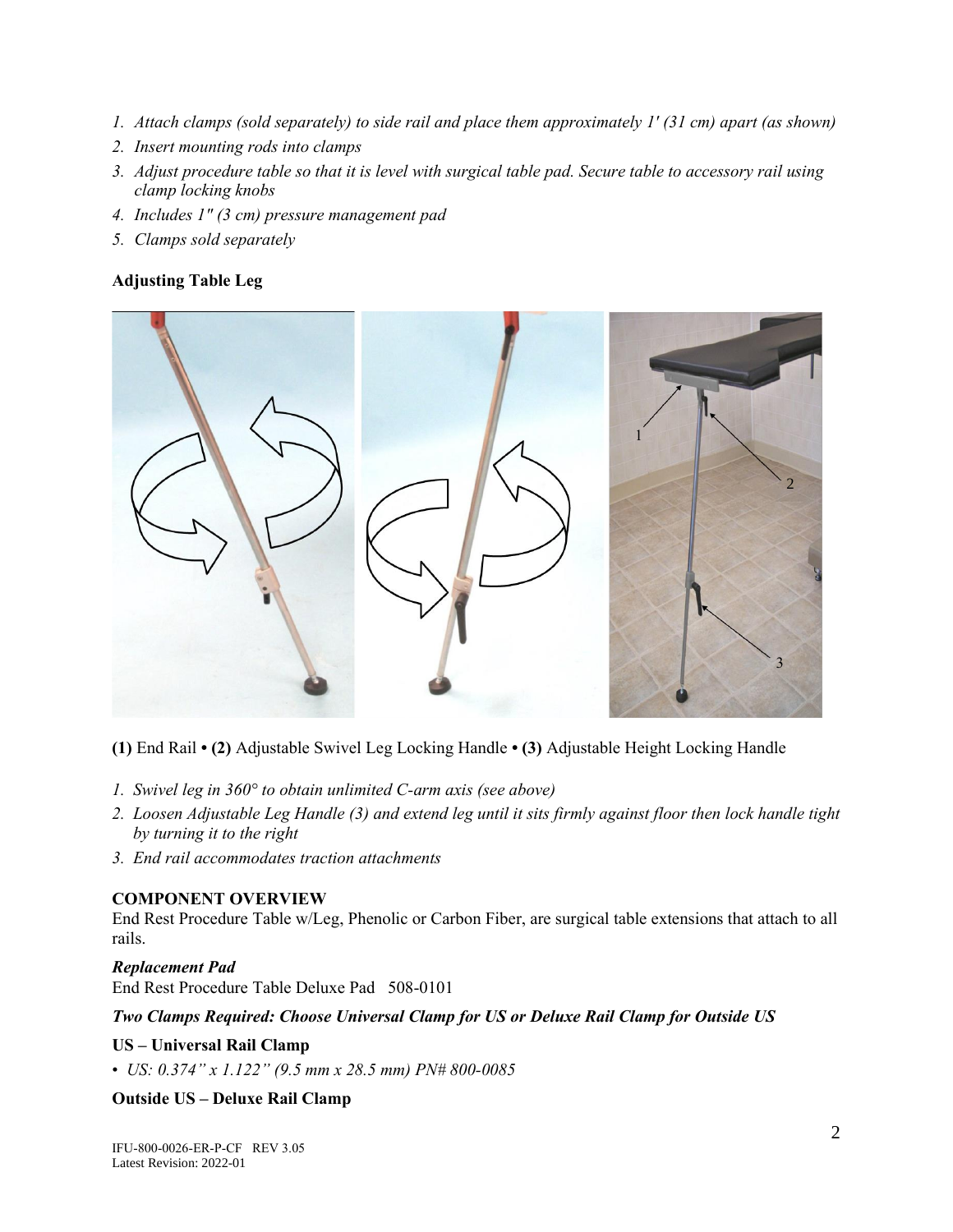- *1. Attach clamps (sold separately) to side rail and place them approximately 1' (31 cm) apart (as shown)*
- *2. Insert mounting rods into clamps*
- *3. Adjust procedure table so that it is level with surgical table pad. Secure table to accessory rail using clamp locking knobs*
- *4. Includes 1" (3 cm) pressure management pad*
- *5. Clamps sold separately*

# **Adjusting Table Leg**



**(1)** End Rail **• (2)** Adjustable Swivel Leg Locking Handle **• (3)** Adjustable Height Locking Handle

- *1. Swivel leg in 360° to obtain unlimited C-arm axis (see above)*
- *2. Loosen Adjustable Leg Handle (3) and extend leg until it sits firmly against floor then lock handle tight by turning it to the right*
- *3. End rail accommodates traction attachments*

#### **COMPONENT OVERVIEW**

End Rest Procedure Table w/Leg, Phenolic or Carbon Fiber, are surgical table extensions that attach to all rails.

#### *Replacement Pad*

End Rest Procedure Table Deluxe Pad 508-0101

#### *Two Clamps Required: Choose Universal Clamp for US or Deluxe Rail Clamp for Outside US*

#### **US – Universal Rail Clamp**

• *US: 0.374" x 1.122" (9.5 mm x 28.5 mm) PN# 800-0085* 

# **Outside US – Deluxe Rail Clamp**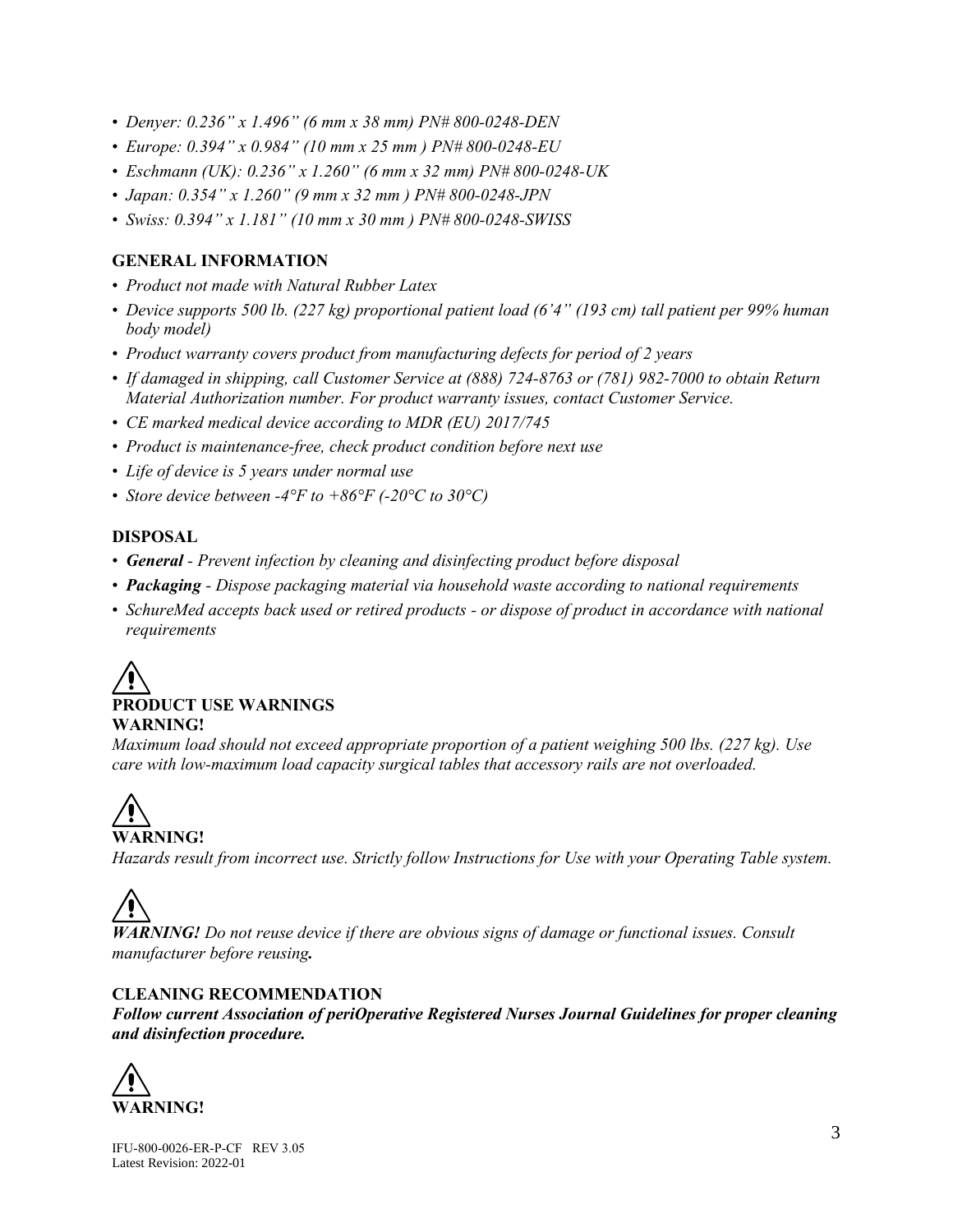- *Denyer: 0.236" x 1.496" (6 mm x 38 mm) PN# 800-0248-DEN*
- *Europe: 0.394" x 0.984" (10 mm x 25 mm ) PN# 800-0248-EU*
- *Eschmann (UK): 0.236" x 1.260" (6 mm x 32 mm) PN# 800-0248-UK*
- *Japan: 0.354" x 1.260" (9 mm x 32 mm ) PN# 800-0248-JPN*
- *Swiss: 0.394" x 1.181" (10 mm x 30 mm ) PN# 800-0248-SWISS*

# **GENERAL INFORMATION**

- *Product not made with Natural Rubber Latex*
- *Device supports 500 lb. (227 kg) proportional patient load (6'4" (193 cm) tall patient per 99% human body model)*
- *Product warranty covers product from manufacturing defects for period of 2 years*
- *If damaged in shipping, call Customer Service at (888) 724-8763 or (781) 982-7000 to obtain Return Material Authorization number. For product warranty issues, contact Customer Service.*
- *CE marked medical device according to MDR (EU) 2017/745*
- *Product is maintenance-free, check product condition before next use*
- *Life of device is 5 years under normal use*
- *Store device between -4°F to +86°F (-20°C to 30°C)*

#### **DISPOSAL**

- *General - Prevent infection by cleaning and disinfecting product before disposal*
- *Packaging - Dispose packaging material via household waste according to national requirements*
- *SchureMed accepts back used or retired products - or dispose of product in accordance with national requirements*



*Maximum load should not exceed appropriate proportion of a patient weighing 500 lbs. (227 kg). Use care with low-maximum load capacity surgical tables that accessory rails are not overloaded.* 

# **WARNING!**

*Hazards result from incorrect use. Strictly follow Instructions for Use with your Operating Table system.*



*WARNING! Do not reuse device if there are obvious signs of damage or functional issues. Consult manufacturer before reusing.*

# **CLEANING RECOMMENDATION**

*Follow current Association of periOperative Registered Nurses Journal Guidelines for proper cleaning and disinfection procedure.*

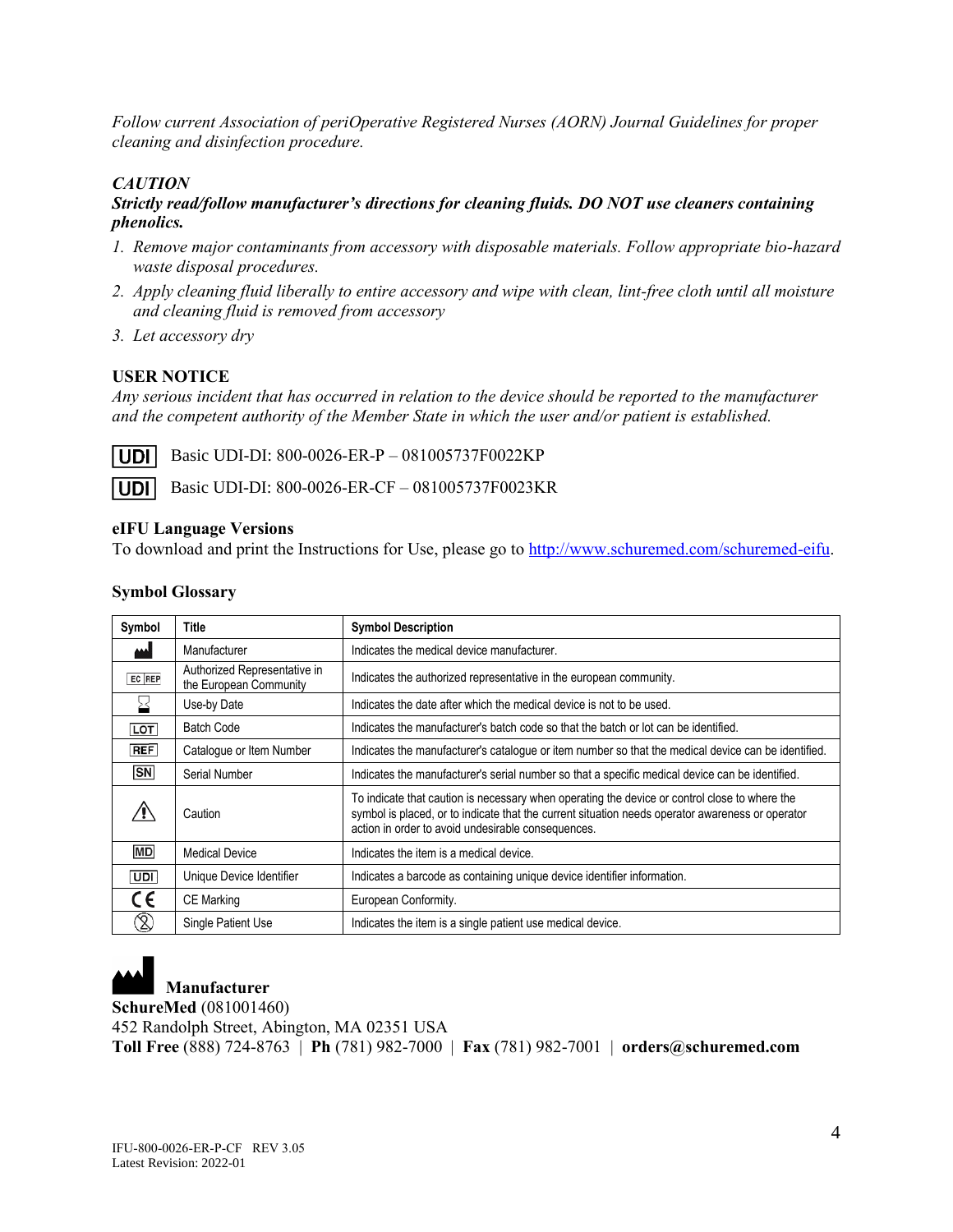*Follow current Association of periOperative Registered Nurses (AORN) Journal Guidelines for proper cleaning and disinfection procedure.*

# *CAUTION*

#### *Strictly read/follow manufacturer's directions for cleaning fluids. DO NOT use cleaners containing phenolics.*

- *1. Remove major contaminants from accessory with disposable materials. Follow appropriate bio-hazard waste disposal procedures.*
- *2. Apply cleaning fluid liberally to entire accessory and wipe with clean, lint-free cloth until all moisture and cleaning fluid is removed from accessory*
- *3. Let accessory dry*

# **USER NOTICE**

*Any serious incident that has occurred in relation to the device should be reported to the manufacturer and the competent authority of the Member State in which the user and/or patient is established.*

I UDI I

Basic UDI-DI: 800-0026-ER-P – 081005737F0022KP

**UDI** Basic UDI-DI: 800-0026-ER-CF – 081005737F0023KR

#### **eIFU Language Versions**

To download and print the Instructions for Use, please go to [http://www.schuremed.com/schuremed-eifu.](http://www.schuremed.com/schuremed-eifu)

#### **Symbol Glossary**

| Symbol                       | Title                                                  | <b>Symbol Description</b>                                                                                                                                                                                                                               |
|------------------------------|--------------------------------------------------------|---------------------------------------------------------------------------------------------------------------------------------------------------------------------------------------------------------------------------------------------------------|
|                              | Manufacturer                                           | Indicates the medical device manufacturer.                                                                                                                                                                                                              |
| EC REP                       | Authorized Representative in<br>the European Community | Indicates the authorized representative in the european community.                                                                                                                                                                                      |
|                              | Use-by Date                                            | Indicates the date after which the medical device is not to be used.                                                                                                                                                                                    |
| LOT                          | <b>Batch Code</b>                                      | Indicates the manufacturer's batch code so that the batch or lot can be identified.                                                                                                                                                                     |
| REF                          | Catalogue or Item Number                               | Indicates the manufacturer's catalogue or item number so that the medical device can be identified.                                                                                                                                                     |
| <b>SN</b>                    | Serial Number                                          | Indicates the manufacturer's serial number so that a specific medical device can be identified.                                                                                                                                                         |
|                              | Caution                                                | To indicate that caution is necessary when operating the device or control close to where the<br>symbol is placed, or to indicate that the current situation needs operator awareness or operator<br>action in order to avoid undesirable consequences. |
| <b>MD</b>                    | <b>Medical Device</b>                                  | Indicates the item is a medical device.                                                                                                                                                                                                                 |
| UDI                          | Unique Device Identifier                               | Indicates a barcode as containing unique device identifier information.                                                                                                                                                                                 |
| C€                           | <b>CE Marking</b>                                      | European Conformity.                                                                                                                                                                                                                                    |
| $\left( \text{\c{2}}\right)$ | Single Patient Use                                     | Indicates the item is a single patient use medical device.                                                                                                                                                                                              |



**Manufacturer**

**SchureMed** (081001460)

452 Randolph Street, Abington, MA 02351 USA

**Toll Free** (888) 724-8763 | **Ph** (781) 982-7000 | **Fax** (781) 982-7001 | **orders@schuremed.com**